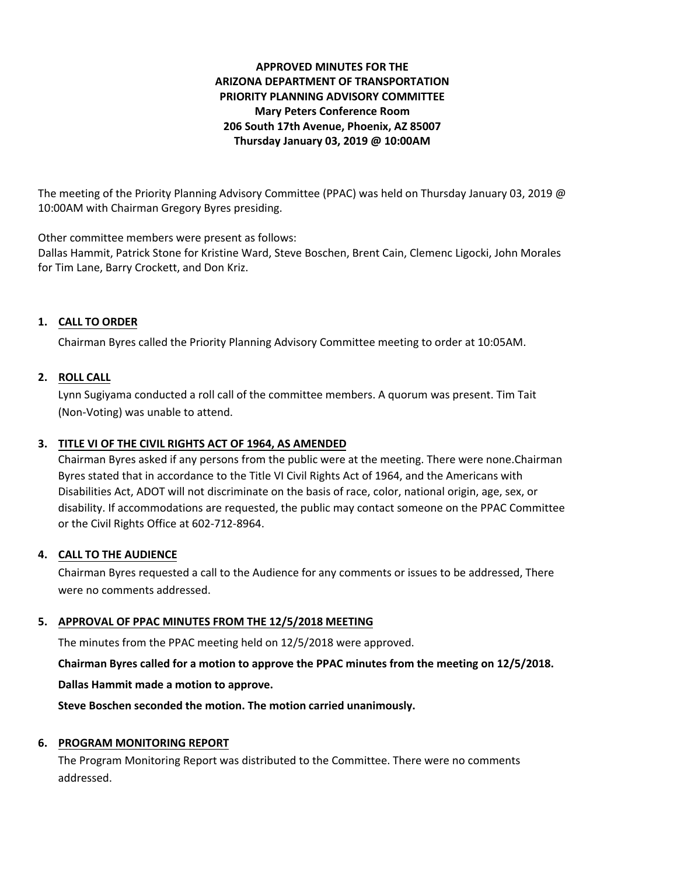# **APPROVED MINUTES FOR THE ARIZONA DEPARTMENT OF TRANSPORTATION PRIORITY PLANNING ADVISORY COMMITTEE Mary Peters Conference Room 206 South 17th Avenue, Phoenix, AZ 85007 Thursday January 03, 2019 @ 10:00AM**

The meeting of the Priority Planning Advisory Committee (PPAC) was held on Thursday January 03, 2019 @ 10:00AM with Chairman Gregory Byres presiding.

Other committee members were present as follows:

Dallas Hammit, Patrick Stone for Kristine Ward, Steve Boschen, Brent Cain, Clemenc Ligocki, John Morales for Tim Lane, Barry Crockett, and Don Kriz.

# **1. CALL TO ORDER**

Chairman Byres called the Priority Planning Advisory Committee meeting to order at 10:05AM.

# **2. ROLL CALL**

Lynn Sugiyama conducted a roll call of the committee members. A quorum was present. Tim Tait (Non-Voting) was unable to attend.

# **3. TITLE VI OF THE CIVIL RIGHTS ACT OF 1964, AS AMENDED**

Chairman Byres asked if any persons from the public were at the meeting. There were none.Chairman Byres stated that in accordance to the Title VI Civil Rights Act of 1964, and the Americans with Disabilities Act, ADOT will not discriminate on the basis of race, color, national origin, age, sex, or disability. If accommodations are requested, the public may contact someone on the PPAC Committee or the Civil Rights Office at 602-712-8964.

# **4. CALL TO THE AUDIENCE**

Chairman Byres requested a call to the Audience for any comments or issues to be addressed, There were no comments addressed.

# **5. APPROVAL OF PPAC MINUTES FROM THE 12/5/2018 MEETING**

The minutes from the PPAC meeting held on 12/5/2018 were approved.

**Chairman Byres called for a motion to approve the PPAC minutes from the meeting on 12/5/2018.**

**Dallas Hammit made a motion to approve.**

**Steve Boschen seconded the motion. The motion carried unanimously.**

# **6. PROGRAM MONITORING REPORT**

The Program Monitoring Report was distributed to the Committee. There were no comments addressed.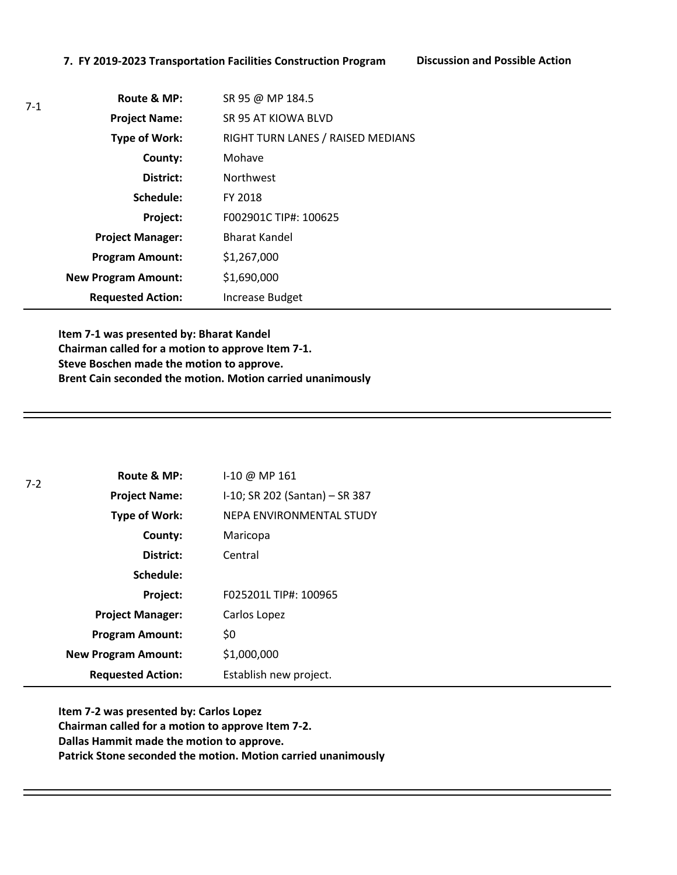#### **7. FY 2019-2023 Transportation Facilities Construction Program Discussion and Possible Action**

7-1

| Route & MP:                | SR 95 @ MP 184.5                  |
|----------------------------|-----------------------------------|
| <b>Project Name:</b>       | SR 95 AT KIOWA BLVD               |
| Type of Work:              | RIGHT TURN LANES / RAISED MEDIANS |
| County:                    | Mohave                            |
| District:                  | <b>Northwest</b>                  |
| Schedule:                  | FY 2018                           |
| Project:                   | F002901C TIP#: 100625             |
| <b>Project Manager:</b>    | <b>Bharat Kandel</b>              |
| <b>Program Amount:</b>     | \$1,267,000                       |
| <b>New Program Amount:</b> | \$1,690,000                       |
| <b>Requested Action:</b>   | Increase Budget                   |

**Item 7-1 was presented by: Bharat Kandel Chairman called for a motion to approve Item 7-1. Steve Boschen made the motion to approve. Brent Cain seconded the motion. Motion carried unanimously** 

| $7 - 2$ | Route & MP:                | I-10 @ MP 161                  |
|---------|----------------------------|--------------------------------|
|         | <b>Project Name:</b>       | I-10; SR 202 (Santan) - SR 387 |
|         | <b>Type of Work:</b>       | NEPA ENVIRONMENTAL STUDY       |
|         | County:                    | Maricopa                       |
|         | District:                  | Central                        |
|         | Schedule:                  |                                |
|         | Project:                   | F025201L TIP#: 100965          |
|         | <b>Project Manager:</b>    | Carlos Lopez                   |
|         | <b>Program Amount:</b>     | \$0                            |
|         | <b>New Program Amount:</b> | \$1,000,000                    |
|         | <b>Requested Action:</b>   | Establish new project.         |

**Item 7-2 was presented by: Carlos Lopez Chairman called for a motion to approve Item 7-2. Dallas Hammit made the motion to approve. Patrick Stone seconded the motion. Motion carried unanimously**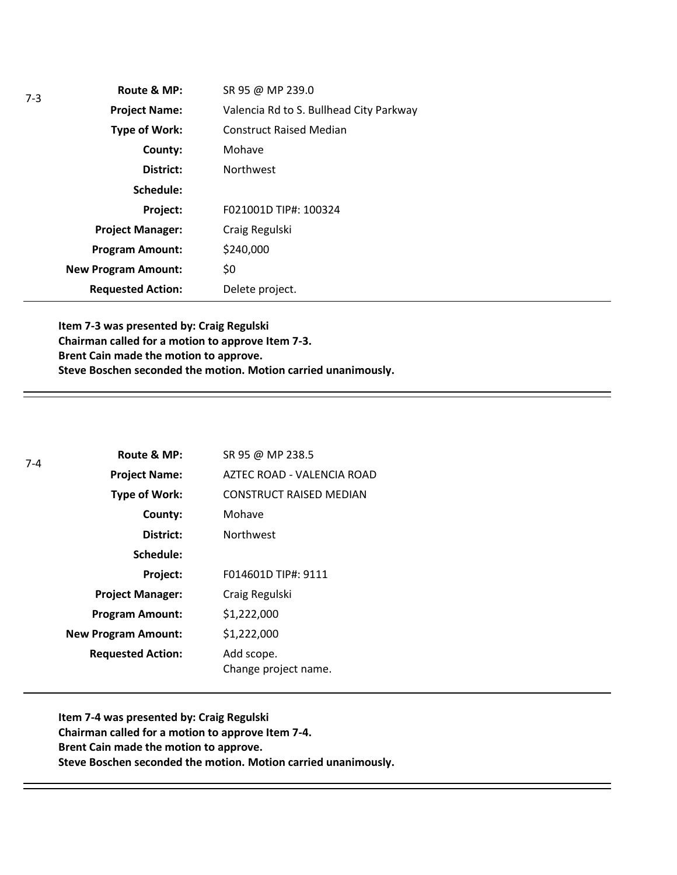| Route & MP:                | SR 95 @ MP 239.0                        |
|----------------------------|-----------------------------------------|
| <b>Project Name:</b>       | Valencia Rd to S. Bullhead City Parkway |
| Type of Work:              | <b>Construct Raised Median</b>          |
| County:                    | Mohave                                  |
| District:                  | <b>Northwest</b>                        |
| Schedule:                  |                                         |
| Project:                   | F021001D TIP#: 100324                   |
| <b>Project Manager:</b>    | Craig Regulski                          |
| <b>Program Amount:</b>     | \$240,000                               |
| <b>New Program Amount:</b> | \$0                                     |
| <b>Requested Action:</b>   | Delete project.                         |

**Item 7-3 was presented by: Craig Regulski Chairman called for a motion to approve Item 7-3. Brent Cain made the motion to approve. Steve Boschen seconded the motion. Motion carried unanimously.** 

| $7 - 4$ | Route & MP:                | SR 95 @ MP 238.5                   |
|---------|----------------------------|------------------------------------|
|         | <b>Project Name:</b>       | AZTEC ROAD - VALENCIA ROAD         |
|         | <b>Type of Work:</b>       | <b>CONSTRUCT RAISED MEDIAN</b>     |
|         | County:                    | Mohave                             |
|         | District:                  | <b>Northwest</b>                   |
|         | Schedule:                  |                                    |
|         | Project:                   | F014601D TIP#: 9111                |
|         | <b>Project Manager:</b>    | Craig Regulski                     |
|         | <b>Program Amount:</b>     | \$1,222,000                        |
|         | <b>New Program Amount:</b> | \$1,222,000                        |
|         | <b>Requested Action:</b>   | Add scope.<br>Change project name. |

**Item 7-4 was presented by: Craig Regulski Chairman called for a motion to approve Item 7-4. Brent Cain made the motion to approve. Steve Boschen seconded the motion. Motion carried unanimously.**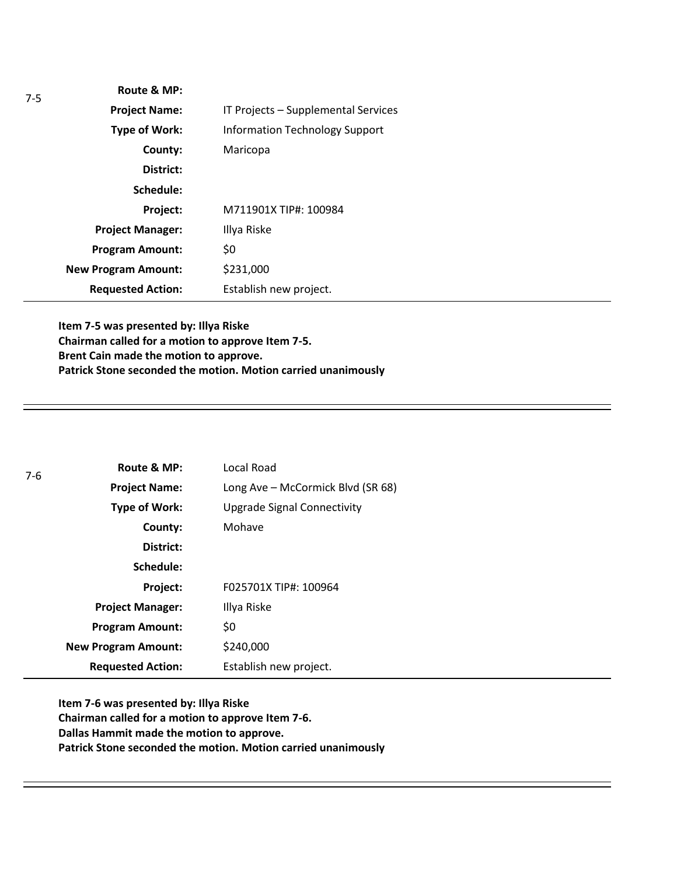| IT Projects - Supplemental Services   |
|---------------------------------------|
| <b>Information Technology Support</b> |
| Maricopa                              |
|                                       |
|                                       |
| M711901X TIP#: 100984                 |
| Illya Riske                           |
| \$0                                   |
| \$231,000                             |
| Establish new project.                |
|                                       |

**Item 7-5 was presented by: Illya Riske Chairman called for a motion to approve Item 7-5. Brent Cain made the motion to approve. Patrick Stone seconded the motion. Motion carried unanimously**

| $7-6$ | Route & MP:                | Local Road                        |
|-------|----------------------------|-----------------------------------|
|       | <b>Project Name:</b>       | Long Ave - McCormick Blvd (SR 68) |
|       | Type of Work:              | Upgrade Signal Connectivity       |
|       | County:                    | Mohave                            |
|       | District:                  |                                   |
|       | Schedule:                  |                                   |
|       | Project:                   | F025701X TIP#: 100964             |
|       | <b>Project Manager:</b>    | Illya Riske                       |
|       | <b>Program Amount:</b>     | \$0                               |
|       | <b>New Program Amount:</b> | \$240,000                         |
|       | <b>Requested Action:</b>   | Establish new project.            |

**Item 7-6 was presented by: Illya Riske Chairman called for a motion to approve Item 7-6. Dallas Hammit made the motion to approve. Patrick Stone seconded the motion. Motion carried unanimously**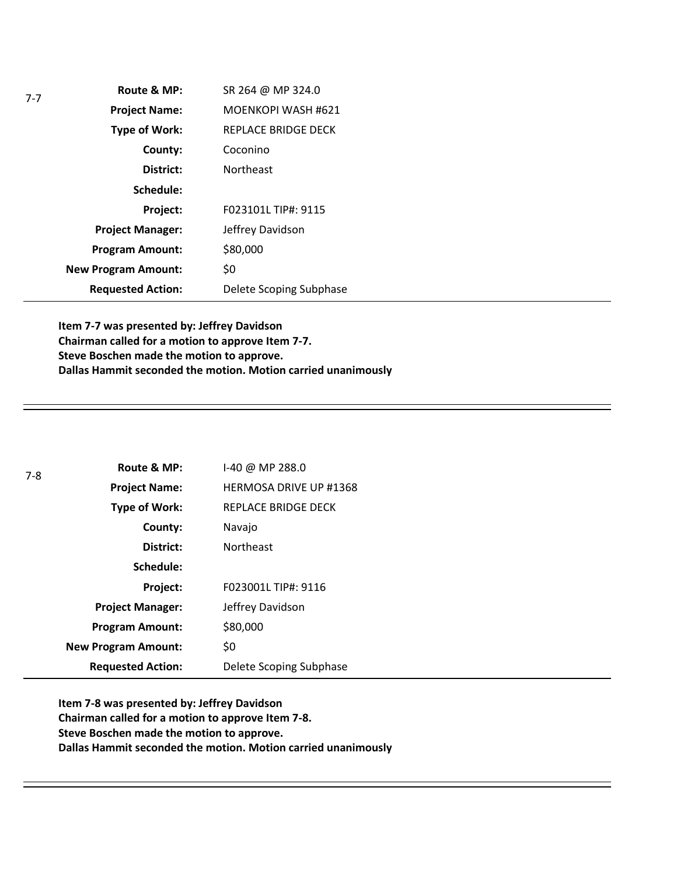| Route & MP:                | SR 264 @ MP 324.0         |
|----------------------------|---------------------------|
| <b>Project Name:</b>       | <b>MOENKOPI WASH #621</b> |
| <b>Type of Work:</b>       | REPLACE BRIDGE DECK       |
| County:                    | Coconino                  |
| District:                  | <b>Northeast</b>          |
| Schedule:                  |                           |
| Project:                   | F023101L TIP#: 9115       |
| <b>Project Manager:</b>    | Jeffrey Davidson          |
| <b>Program Amount:</b>     | \$80,000                  |
| <b>New Program Amount:</b> | \$0                       |
| <b>Requested Action:</b>   | Delete Scoping Subphase   |

**Item 7-7 was presented by: Jeffrey Davidson Chairman called for a motion to approve Item 7-7. Steve Boschen made the motion to approve. Dallas Hammit seconded the motion. Motion carried unanimously**

| $7-8$ | Route & MP:                | $1-40$ @ MP 288.0             |
|-------|----------------------------|-------------------------------|
|       | <b>Project Name:</b>       | <b>HERMOSA DRIVE UP #1368</b> |
|       | <b>Type of Work:</b>       | REPLACE BRIDGE DECK           |
|       | County:                    | Navajo                        |
|       | District:                  | <b>Northeast</b>              |
|       | Schedule:                  |                               |
|       | Project:                   | F023001L TIP#: 9116           |
|       | <b>Project Manager:</b>    | Jeffrey Davidson              |
|       | <b>Program Amount:</b>     | \$80,000                      |
|       | <b>New Program Amount:</b> | \$0                           |
|       | <b>Requested Action:</b>   | Delete Scoping Subphase       |

**Item 7-8 was presented by: Jeffrey Davidson Chairman called for a motion to approve Item 7-8. Steve Boschen made the motion to approve. Dallas Hammit seconded the motion. Motion carried unanimously**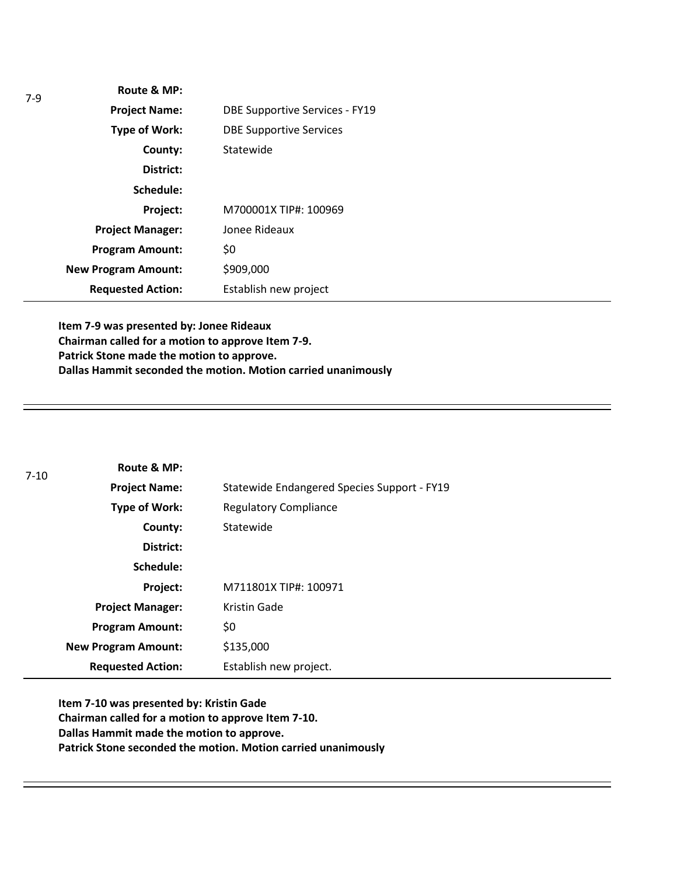| Route & MP:                |                                       |
|----------------------------|---------------------------------------|
| <b>Project Name:</b>       | <b>DBE Supportive Services - FY19</b> |
| <b>Type of Work:</b>       | <b>DBE Supportive Services</b>        |
| County:                    | Statewide                             |
| District:                  |                                       |
| Schedule:                  |                                       |
| Project:                   | M700001X TIP#: 100969                 |
| <b>Project Manager:</b>    | Jonee Rideaux                         |
| <b>Program Amount:</b>     | \$0                                   |
| <b>New Program Amount:</b> | \$909,000                             |
| <b>Requested Action:</b>   | Establish new project                 |
|                            |                                       |

**Item 7-9 was presented by: Jonee Rideaux Chairman called for a motion to approve Item 7-9. Patrick Stone made the motion to approve. Dallas Hammit seconded the motion. Motion carried unanimously**

| $7 - 10$ | Route & MP:                |                                             |
|----------|----------------------------|---------------------------------------------|
|          | <b>Project Name:</b>       | Statewide Endangered Species Support - FY19 |
|          | Type of Work:              | <b>Regulatory Compliance</b>                |
|          | County:                    | Statewide                                   |
|          | District:                  |                                             |
|          | Schedule:                  |                                             |
|          | Project:                   | M711801X TIP#: 100971                       |
|          | <b>Project Manager:</b>    | Kristin Gade                                |
|          | <b>Program Amount:</b>     | \$0                                         |
|          | <b>New Program Amount:</b> | \$135,000                                   |
|          | <b>Requested Action:</b>   | Establish new project.                      |

**Item 7-10 was presented by: Kristin Gade Chairman called for a motion to approve Item 7-10. Dallas Hammit made the motion to approve. Patrick Stone seconded the motion. Motion carried unanimously**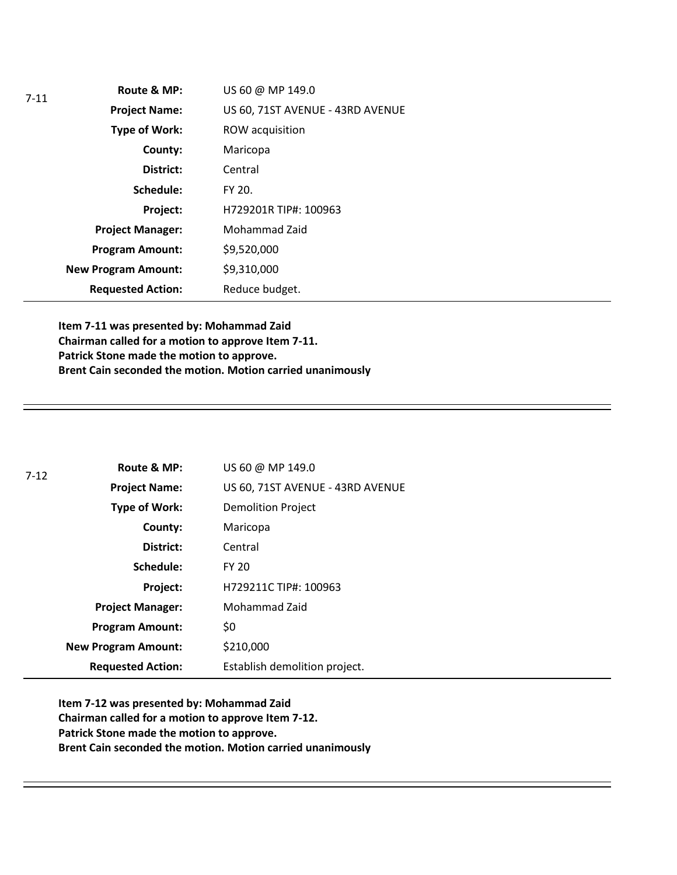| $7 - 11$ | Route & MP:                | US 60 @ MP 149.0                 |
|----------|----------------------------|----------------------------------|
|          | <b>Project Name:</b>       | US 60, 71ST AVENUE - 43RD AVENUE |
|          | Type of Work:              | ROW acquisition                  |
|          | County:                    | Maricopa                         |
|          | District:                  | Central                          |
|          | Schedule:                  | FY 20.                           |
|          | Project:                   | H729201R TIP#: 100963            |
|          | <b>Project Manager:</b>    | Mohammad Zaid                    |
|          | <b>Program Amount:</b>     | \$9,520,000                      |
|          | <b>New Program Amount:</b> | \$9,310,000                      |
|          | <b>Requested Action:</b>   | Reduce budget.                   |

**Item 7-11 was presented by: Mohammad Zaid Chairman called for a motion to approve Item 7-11. Patrick Stone made the motion to approve. Brent Cain seconded the motion. Motion carried unanimously**

| $7 - 12$ | Route & MP:                | US 60 @ MP 149.0                 |
|----------|----------------------------|----------------------------------|
|          | <b>Project Name:</b>       | US 60, 71ST AVENUE - 43RD AVENUE |
|          | Type of Work:              | <b>Demolition Project</b>        |
|          | County:                    | Maricopa                         |
|          | District:                  | Central                          |
|          | Schedule:                  | <b>FY 20</b>                     |
|          | Project:                   | H729211C TIP#: 100963            |
|          | <b>Project Manager:</b>    | Mohammad Zaid                    |
|          | <b>Program Amount:</b>     | \$0                              |
|          | <b>New Program Amount:</b> | \$210,000                        |
|          | <b>Requested Action:</b>   | Establish demolition project.    |

**Item 7-12 was presented by: Mohammad Zaid Chairman called for a motion to approve Item 7-12. Patrick Stone made the motion to approve. Brent Cain seconded the motion. Motion carried unanimously**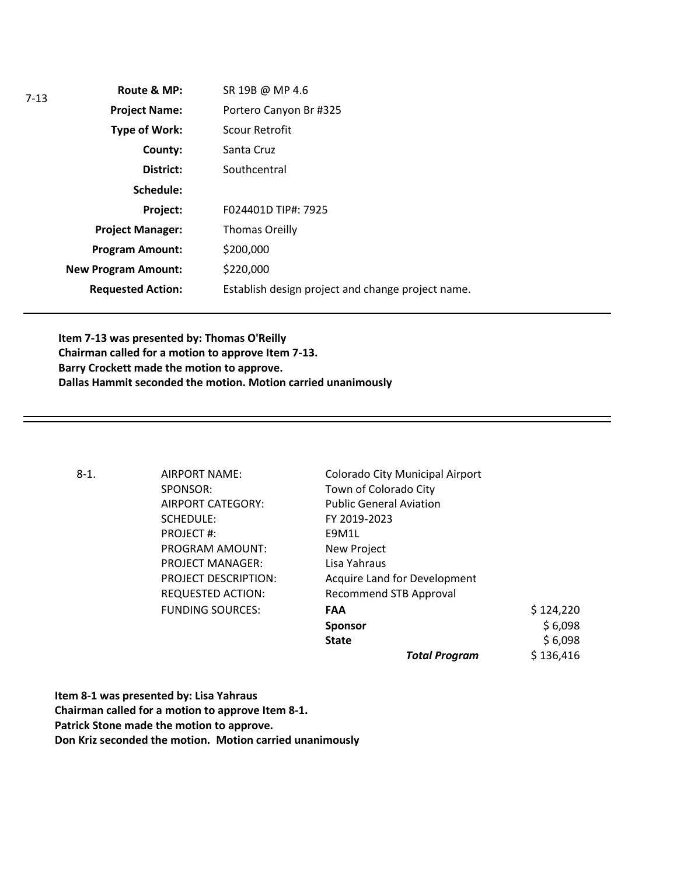| SR 19B @ MP 4.6                                   |
|---------------------------------------------------|
| Portero Canyon Br #325                            |
| Scour Retrofit                                    |
| Santa Cruz                                        |
| Southcentral                                      |
|                                                   |
| F024401D TIP#: 7925                               |
| <b>Thomas Oreilly</b>                             |
| \$200,000                                         |
| \$220,000                                         |
| Establish design project and change project name. |
|                                                   |

**Item 7-13 was presented by: Thomas O'Reilly Chairman called for a motion to approve Item 7-13. Barry Crockett made the motion to approve. Dallas Hammit seconded the motion. Motion carried unanimously**

| $8-1.$ | AIRPORT NAME:               | Colorado City Municipal Airport |           |
|--------|-----------------------------|---------------------------------|-----------|
|        | SPONSOR:                    | Town of Colorado City           |           |
|        | AIRPORT CATEGORY:           | <b>Public General Aviation</b>  |           |
|        | SCHEDULE:                   | FY 2019-2023                    |           |
|        | PROJECT#:                   | E9M1L                           |           |
|        | PROGRAM AMOUNT:             | New Project                     |           |
|        | <b>PROJECT MANAGER:</b>     | Lisa Yahraus                    |           |
|        | <b>PROJECT DESCRIPTION:</b> | Acquire Land for Development    |           |
|        | REQUESTED ACTION:           | Recommend STB Approval          |           |
|        | <b>FUNDING SOURCES:</b>     | <b>FAA</b>                      | \$124,220 |
|        |                             | <b>Sponsor</b>                  | \$6,098   |
|        |                             | <b>State</b>                    | \$6,098   |
|        |                             | <b>Total Program</b>            | \$136,416 |

**Item 8-1 was presented by: Lisa Yahraus Chairman called for a motion to approve Item 8-1. Patrick Stone made the motion to approve. Don Kriz seconded the motion. Motion carried unanimously**